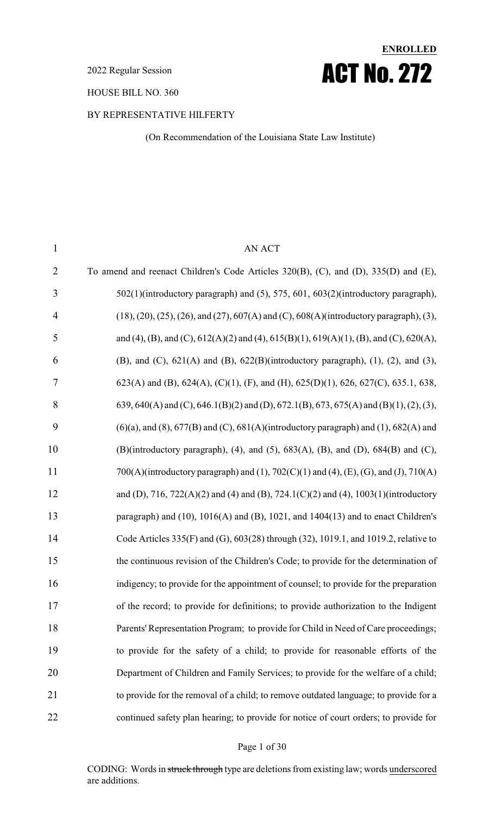2022 Regular Session

HOUSE BILL NO. 360

#### BY REPRESENTATIVE HILFERTY

(On Recommendation of the Louisiana State Law Institute)

**ENROLLED**

ACT No. 272

| $\mathbf{1}$   | <b>AN ACT</b>                                                                                                    |
|----------------|------------------------------------------------------------------------------------------------------------------|
| $\overline{2}$ | To amend and reenact Children's Code Articles 320(B), (C), and (D), 335(D) and (E),                              |
| 3              | 502(1)(introductory paragraph) and (5), 575, 601, 603(2)(introductory paragraph),                                |
| $\overline{4}$ | $(18)$ , $(20)$ , $(25)$ , $(26)$ , and $(27)$ , $607(A)$ and $(C)$ , $608(A)$ (introductory paragraph), $(3)$ , |
| 5              | and (4), (B), and (C), $612(A)(2)$ and (4), $615(B)(1)$ , $619(A)(1)$ , (B), and (C), $620(A)$ ,                 |
| 6              | (B), and (C), $621(A)$ and (B), $622(B)$ (introductory paragraph), (1), (2), and (3),                            |
| 7              | 623(A) and (B), 624(A), (C)(1), (F), and (H), 625(D)(1), 626, 627(C), 635.1, 638,                                |
| 8              | 639, 640(A) and (C), 646.1(B)(2) and (D), 672.1(B), 673, 675(A) and (B)(1), (2), (3),                            |
| 9              | $(6)(a)$ , and $(8)$ , 677 $(B)$ and $(C)$ , 681 $(A)$ (introductory paragraph) and $(1)$ , 682 $(A)$ and        |
| 10             | (B)(introductory paragraph), (4), and (5), $683(A)$ , (B), and (D), $684(B)$ and (C),                            |
| 11             | 700(A)(introductory paragraph) and (1), 702(C)(1) and (4), (E), (G), and (J), 710(A)                             |
| 12             | and (D), 716, 722(A)(2) and (4) and (B), 724.1(C)(2) and (4), 1003(1)(introductory                               |
| 13             | paragraph) and $(10)$ , $1016(A)$ and $(B)$ , $1021$ , and $1404(13)$ and to enact Children's                    |
| 14             | Code Articles 335(F) and (G), 603(28) through (32), 1019.1, and 1019.2, relative to                              |
| 15             | the continuous revision of the Children's Code; to provide for the determination of                              |
| 16             | indigency; to provide for the appointment of counsel; to provide for the preparation                             |
| 17             | of the record; to provide for definitions; to provide authorization to the Indigent                              |
| 18             | Parents' Representation Program; to provide for Child in Need of Care proceedings;                               |
| 19             | to provide for the safety of a child; to provide for reasonable efforts of the                                   |
| 20             | Department of Children and Family Services; to provide for the welfare of a child;                               |
| 21             | to provide for the removal of a child; to remove outdated language; to provide for a                             |
| 22             | continued safety plan hearing; to provide for notice of court orders; to provide for                             |

#### Page 1 of 30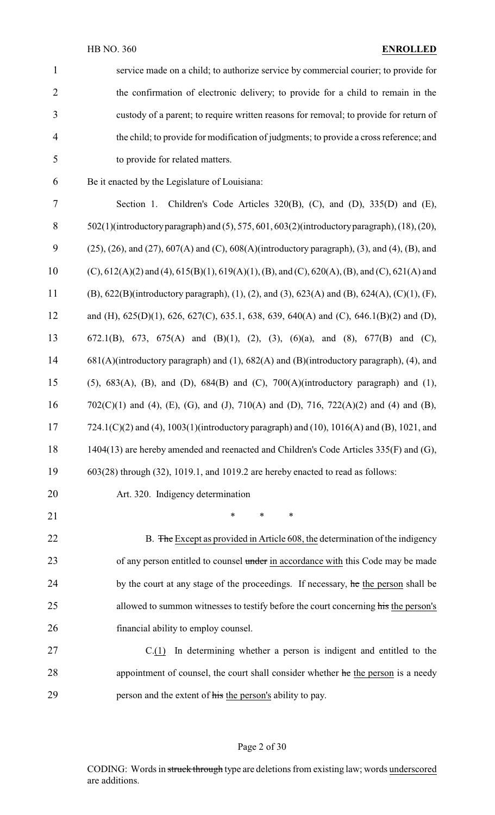| $\mathbf{1}$             | service made on a child; to authorize service by commercial courier; to provide for                                      |
|--------------------------|--------------------------------------------------------------------------------------------------------------------------|
| $\overline{2}$           | the confirmation of electronic delivery; to provide for a child to remain in the                                         |
| 3                        | custody of a parent; to require written reasons for removal; to provide for return of                                    |
| $\overline{\mathcal{A}}$ | the child; to provide for modification of judgments; to provide a cross reference; and                                   |
| 5                        | to provide for related matters.                                                                                          |
| 6                        | Be it enacted by the Legislature of Louisiana:                                                                           |
| 7                        | Section 1. Children's Code Articles 320(B), (C), and (D), 335(D) and (E),                                                |
| $8\,$                    | 502(1)(introductory paragraph) and (5), 575, 601, 603(2)(introductory paragraph), (18), (20),                            |
| 9                        | $(25)$ , $(26)$ , and $(27)$ , $607(A)$ and $(C)$ , $608(A)$ (introductory paragraph), $(3)$ , and $(4)$ , $(B)$ , and   |
| 10                       | (C), $612(A)(2)$ and $(4)$ , $615(B)(1)$ , $619(A)(1)$ , $(B)$ , and $(C)$ , $620(A)$ , $(B)$ , and $(C)$ , $621(A)$ and |
| 11                       | (B), $622(B)$ (introductory paragraph), (1), (2), and (3), $623(A)$ and (B), $624(A)$ , (C)(1), (F),                     |
| 12                       | and (H), 625(D)(1), 626, 627(C), 635.1, 638, 639, 640(A) and (C), 646.1(B)(2) and (D),                                   |
| 13                       | 672.1(B), 673, 675(A) and (B)(1), (2), (3), (6)(a), and (8), 677(B) and (C),                                             |
| 14                       | 681(A)(introductory paragraph) and (1), 682(A) and (B)(introductory paragraph), (4), and                                 |
| 15                       | (5), $683(A)$ , (B), and (D), $684(B)$ and (C), $700(A)$ (introductory paragraph) and (1),                               |
| 16                       | $702(C)(1)$ and (4), (E), (G), and (J), $710(A)$ and (D), $716$ , $722(A)(2)$ and (4) and (B),                           |
| 17                       | 724.1(C)(2) and (4), 1003(1)(introductory paragraph) and (10), 1016(A) and (B), 1021, and                                |
| 18                       | 1404(13) are hereby amended and reenacted and Children's Code Articles 335(F) and (G),                                   |
| 19                       | $603(28)$ through $(32)$ , 1019.1, and 1019.2 are hereby enacted to read as follows:                                     |
| 20                       | Art. 320. Indigency determination                                                                                        |
| 21                       | $\ast$<br>$\ast$<br>$\ast$                                                                                               |
| 22                       | B. The Except as provided in Article 608, the determination of the indigency                                             |
| 23                       | of any person entitled to counsel under in accordance with this Code may be made                                         |
| 24                       | by the court at any stage of the proceedings. If necessary, he the person shall be                                       |
| 25                       | allowed to summon witnesses to testify before the court concerning his the person's                                      |
| 26                       | financial ability to employ counsel.                                                                                     |
| 27                       | In determining whether a person is indigent and entitled to the<br>C(1)                                                  |
| 28                       | appointment of counsel, the court shall consider whether he the person is a needy                                        |
| 29                       | person and the extent of his the person's ability to pay.                                                                |

# Page 2 of 30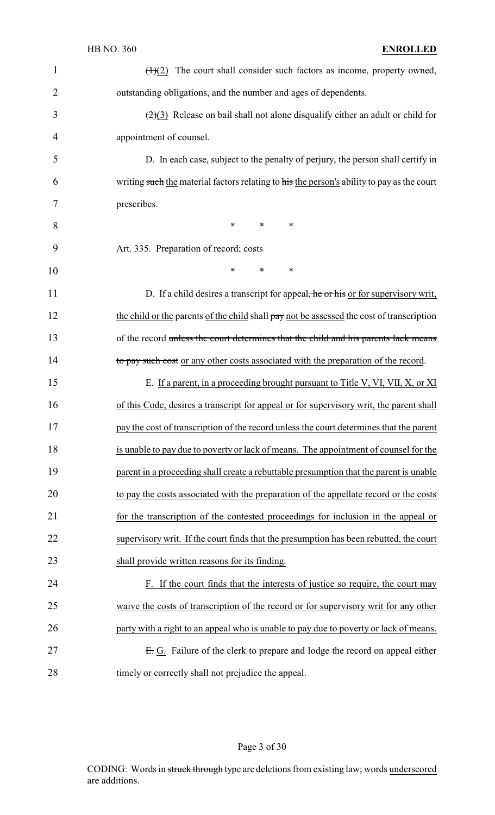| $\mathbf{1}$   | $\left(\frac{H}{2}\right)$ The court shall consider such factors as income, property owned,        |
|----------------|----------------------------------------------------------------------------------------------------|
| $\overline{2}$ | outstanding obligations, and the number and ages of dependents.                                    |
| 3              | $\left(\frac{2}{3}\right)$ Release on bail shall not alone disqualify either an adult or child for |
| 4              | appointment of counsel.                                                                            |
| 5              | D. In each case, subject to the penalty of perjury, the person shall certify in                    |
| 6              | writing such the material factors relating to his the person's ability to pay as the court         |
| 7              | prescribes.                                                                                        |
| 8              | $\ast$<br>*<br>∗                                                                                   |
| 9              | Art. 335. Preparation of record; costs                                                             |
| 10             | $\ast$<br>*<br>∗                                                                                   |
| 11             | D. If a child desires a transcript for appeal <del>, he or his</del> or for supervisory writ,      |
| 12             | the child or the parents of the child shall pay not be assessed the cost of transcription          |
| 13             | of the record unless the court determines that the child and his parents lack means                |
| 14             | to pay such cost or any other costs associated with the preparation of the record.                 |
| 15             | E. If a parent, in a proceeding brought pursuant to Title V, VI, VII, X, or XI                     |
| 16             | of this Code, desires a transcript for appeal or for supervisory writ, the parent shall            |
| 17             | pay the cost of transcription of the record unless the court determines that the parent            |
| 18             | is unable to pay due to poverty or lack of means. The appointment of counsel for the               |
| 19             | parent in a proceeding shall create a rebuttable presumption that the parent is unable             |
| 20             | to pay the costs associated with the preparation of the appellate record or the costs              |
| 21             | for the transcription of the contested proceedings for inclusion in the appeal or                  |
| 22             | supervisory writ. If the court finds that the presumption has been rebutted, the court             |
| 23             | shall provide written reasons for its finding.                                                     |
| 24             | F. If the court finds that the interests of justice so require, the court may                      |
| 25             | waive the costs of transcription of the record or for supervisory writ for any other               |
| 26             | party with a right to an appeal who is unable to pay due to poverty or lack of means.              |
| 27             | E. G. Failure of the clerk to prepare and lodge the record on appeal either                        |
| 28             | timely or correctly shall not prejudice the appeal.                                                |

Page 3 of 30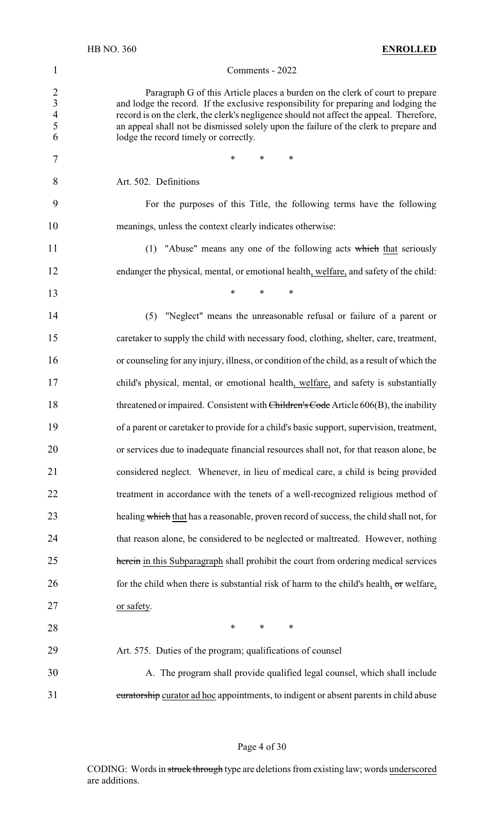#### Comments - 2022

2 Paragraph G of this Article places a burden on the clerk of court to prepare<br>3 and lodge the record. If the exclusive responsibility for preparing and lodging the and lodge the record. If the exclusive responsibility for preparing and lodging the record is on the clerk, the clerk's negligence should not affect the appeal. Therefore, an appeal shall not be dismissed solely upon the failure of the clerk to prepare and lodge the record timely or correctly.

Art. 502. Definitions

7 \* \* \* \*

**\*** \* \* \*

 For the purposes of this Title, the following terms have the following meanings, unless the context clearly indicates otherwise:

11 (1) "Abuse" means any one of the following acts which that seriously endanger the physical, mental, or emotional health, welfare, and safety of the child:

 (5) "Neglect" means the unreasonable refusal or failure of a parent or caretaker to supply the child with necessary food, clothing, shelter, care, treatment, or counseling for any injury, illness, or condition of the child, as a result of which the child's physical, mental, or emotional health, welfare, and safety is substantially 18 threatened or impaired. Consistent with Children's Code Article 606(B), the inability of a parent or caretaker to provide for a child's basic support, supervision, treatment, or services due to inadequate financial resources shall not, for that reason alone, be considered neglect. Whenever, in lieu of medical care, a child is being provided treatment in accordance with the tenets of a well-recognized religious method of 23 healing which that has a reasonable, proven record of success, the child shall not, for that reason alone, be considered to be neglected or maltreated. However, nothing 25 herein in this Subparagraph shall prohibit the court from ordering medical services 26 for the child when there is substantial risk of harm to the child's health,  $\sigma$ r welfare, or safety.

**\*** \* \* \*

Art. 575. Duties of the program; qualifications of counsel

 A. The program shall provide qualified legal counsel, which shall include 31 curatorship curator ad hoc appointments, to indigent or absent parents in child abuse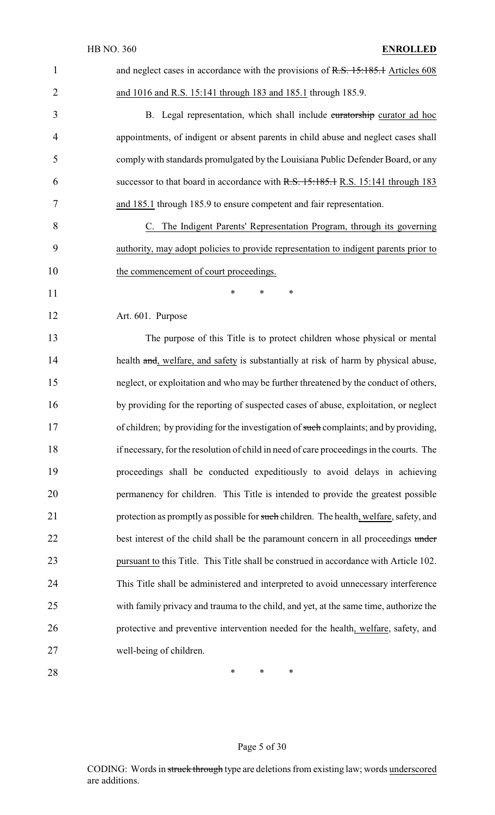| $\mathbf{1}$   | and neglect cases in accordance with the provisions of R.S. 15:185.1 Articles 608        |
|----------------|------------------------------------------------------------------------------------------|
| $\overline{2}$ | and 1016 and R.S. 15:141 through 183 and 185.1 through 185.9.                            |
| 3              | B. Legal representation, which shall include curatorship curator ad hoc                  |
| $\overline{4}$ | appointments, of indigent or absent parents in child abuse and neglect cases shall       |
| 5              | comply with standards promulgated by the Louisiana Public Defender Board, or any         |
| 6              | successor to that board in accordance with R.S. 15:185.1 R.S. 15:141 through 183         |
| 7              | and 185.1 through 185.9 to ensure competent and fair representation.                     |
| 8              | C. The Indigent Parents' Representation Program, through its governing                   |
| 9              | authority, may adopt policies to provide representation to indigent parents prior to     |
| 10             | the commencement of court proceedings.                                                   |
| 11             | $\ast$<br>$\ast$<br>∗                                                                    |
| 12             | Art. 601. Purpose                                                                        |
| 13             | The purpose of this Title is to protect children whose physical or mental                |
| 14             | health and, welfare, and safety is substantially at risk of harm by physical abuse,      |
| 15             | neglect, or exploitation and who may be further threatened by the conduct of others,     |
| 16             | by providing for the reporting of suspected cases of abuse, exploitation, or neglect     |
| 17             | of children; by providing for the investigation of such complaints; and by providing,    |
| 18             | if necessary, for the resolution of child in need of care proceedings in the courts. The |
| 19             | proceedings shall be conducted expeditiously to avoid delays in achieving                |
| 20             | permanency for children. This Title is intended to provide the greatest possible         |
| 21             | protection as promptly as possible for such children. The health, welfare, safety, and   |
| 22             | best interest of the child shall be the paramount concern in all proceedings under       |
| 23             | pursuant to this Title. This Title shall be construed in accordance with Article 102.    |
| 24             | This Title shall be administered and interpreted to avoid unnecessary interference       |
| 25             | with family privacy and trauma to the child, and yet, at the same time, authorize the    |
| 26             | protective and preventive intervention needed for the health, welfare, safety, and       |
| 27             | well-being of children.                                                                  |
|                |                                                                                          |

# Page 5 of 30

28 **\*** \* \* \*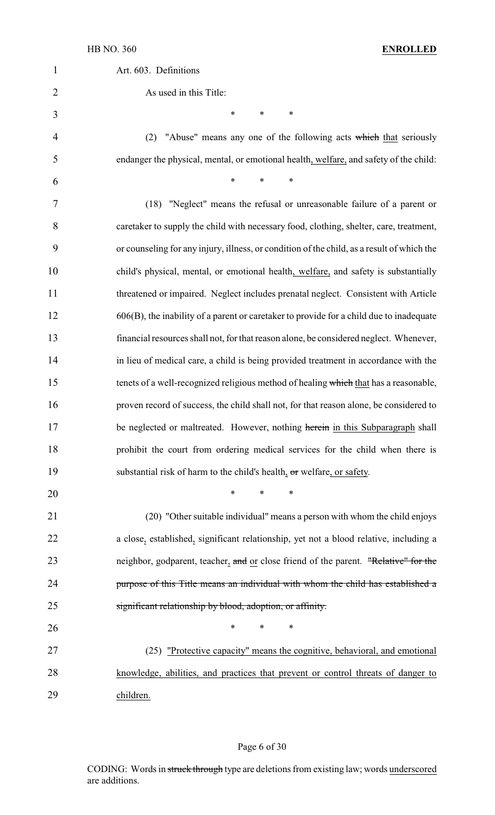| $\mathbf{1}$   | Art. 603. Definitions                                                                      |
|----------------|--------------------------------------------------------------------------------------------|
|                |                                                                                            |
| $\overline{2}$ | As used in this Title:                                                                     |
| 3              | *<br>$\ast$<br>∗                                                                           |
| 4              | "Abuse" means any one of the following acts which that seriously<br>(2)                    |
| 5              | endanger the physical, mental, or emotional health, welfare, and safety of the child:      |
| 6              | *<br>*<br>∗                                                                                |
| 7              | (18) "Neglect" means the refusal or unreasonable failure of a parent or                    |
| 8              | caretaker to supply the child with necessary food, clothing, shelter, care, treatment,     |
| 9              | or counseling for any injury, illness, or condition of the child, as a result of which the |
| 10             | child's physical, mental, or emotional health, welfare, and safety is substantially        |
| 11             | threatened or impaired. Neglect includes prenatal neglect. Consistent with Article         |
| 12             | $606(B)$ , the inability of a parent or caretaker to provide for a child due to inadequate |
| 13             | financial resources shall not, for that reason alone, be considered neglect. Whenever,     |
| 14             | in lieu of medical care, a child is being provided treatment in accordance with the        |
| 15             | tenets of a well-recognized religious method of healing which that has a reasonable,       |
| 16             | proven record of success, the child shall not, for that reason alone, be considered to     |
| 17             | be neglected or maltreated. However, nothing herein in this Subparagraph shall             |
| 18             | prohibit the court from ordering medical services for the child when there is              |
| 19             | substantial risk of harm to the child's health, or welfare, or safety.                     |
| 20             | $\ast$<br>$\ast$<br>$\ast$                                                                 |
| 21             | (20) "Other suitable individual" means a person with whom the child enjoys                 |
| 22             | a close, established, significant relationship, yet not a blood relative, including a      |
| 23             | neighbor, godparent, teacher, and or close friend of the parent. "Relative" for the        |
| 24             | purpose of this Title means an individual with whom the child has established a            |
| 25             | significant relationship by blood, adoption, or affinity.                                  |
| 26             | *<br>∗                                                                                     |
| 27             | (25) "Protective capacity" means the cognitive, behavioral, and emotional                  |
| 28             | knowledge, abilities, and practices that prevent or control threats of danger to           |
| 29             | children.                                                                                  |

# Page 6 of 30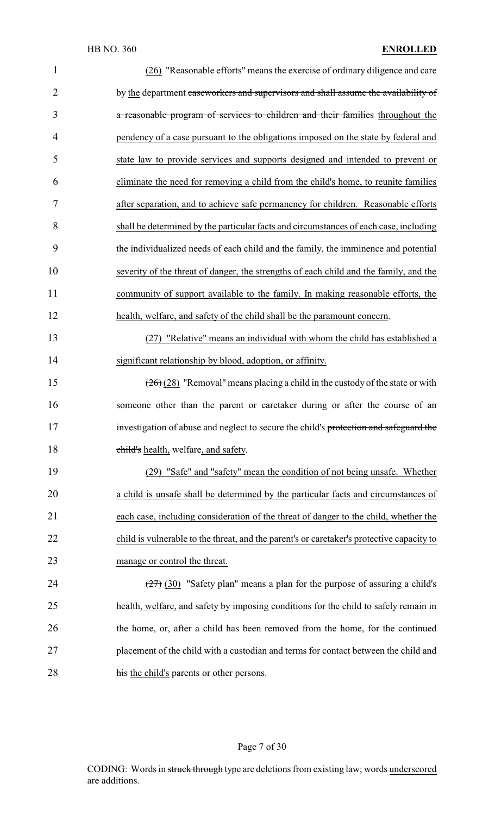| $\mathbf{1}$   | (26) "Reasonable efforts" means the exercise of ordinary diligence and care               |
|----------------|-------------------------------------------------------------------------------------------|
| $\overline{2}$ | by the department caseworkers and supervisors and shall assume the availability of        |
| 3              | a reasonable program of services to children and their families throughout the            |
| $\overline{4}$ | pendency of a case pursuant to the obligations imposed on the state by federal and        |
| 5              | state law to provide services and supports designed and intended to prevent or            |
| 6              | eliminate the need for removing a child from the child's home, to reunite families        |
| 7              | after separation, and to achieve safe permanency for children. Reasonable efforts         |
| 8              | shall be determined by the particular facts and circumstances of each case, including     |
| 9              | the individualized needs of each child and the family, the imminence and potential        |
| 10             | severity of the threat of danger, the strengths of each child and the family, and the     |
| 11             | community of support available to the family. In making reasonable efforts, the           |
| 12             | health, welfare, and safety of the child shall be the paramount concern.                  |
| 13             | (27) "Relative" means an individual with whom the child has established a                 |
| 14             | significant relationship by blood, adoption, or affinity.                                 |
| 15             | $(26)(28)$ "Removal" means placing a child in the custody of the state or with            |
| 16             | someone other than the parent or caretaker during or after the course of an               |
| 17             | investigation of abuse and neglect to secure the child's protection and safeguard the     |
| 18             | child's health, welfare, and safety.                                                      |
| 19             | (29) "Safe" and "safety" mean the condition of not being unsafe. Whether                  |
| 20             | a child is unsafe shall be determined by the particular facts and circumstances of        |
| 21             | each case, including consideration of the threat of danger to the child, whether the      |
| 22             | child is vulnerable to the threat, and the parent's or caretaker's protective capacity to |
| 23             | manage or control the threat.                                                             |
| 24             | $(27)$ (30) "Safety plan" means a plan for the purpose of assuring a child's              |
| 25             | health, welfare, and safety by imposing conditions for the child to safely remain in      |
| 26             | the home, or, after a child has been removed from the home, for the continued             |
| 27             | placement of the child with a custodian and terms for contact between the child and       |
| 28             | his the child's parents or other persons.                                                 |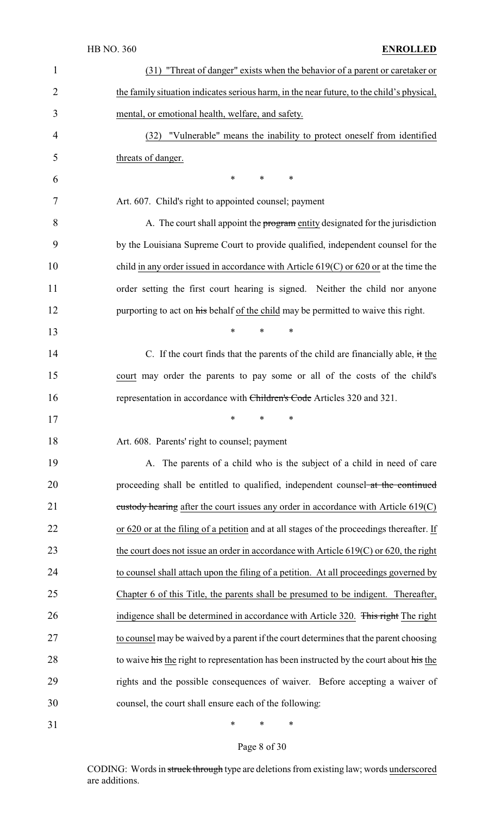|                | HB NO. 360<br><b>ENROLLED</b>                                                              |
|----------------|--------------------------------------------------------------------------------------------|
| $\mathbf{1}$   | (31) "Threat of danger" exists when the behavior of a parent or caretaker or               |
| $\overline{2}$ | the family situation indicates serious harm, in the near future, to the child's physical,  |
| 3              | mental, or emotional health, welfare, and safety.                                          |
| 4              | "Vulnerable" means the inability to protect oneself from identified<br>(32)                |
| 5              | threats of danger.                                                                         |
| 6              | $\ast$<br>$\ast$<br>$\ast$                                                                 |
| 7              | Art. 607. Child's right to appointed counsel; payment                                      |
| 8              | A. The court shall appoint the program entity designated for the jurisdiction              |
| 9              | by the Louisiana Supreme Court to provide qualified, independent counsel for the           |
| 10             | child in any order issued in accordance with Article $619(C)$ or $620$ or at the time the  |
| 11             | order setting the first court hearing is signed. Neither the child nor anyone              |
| 12             | purporting to act on his behalf of the child may be permitted to waive this right.         |
| 13             | $\ast$<br>$\ast$<br>∗                                                                      |
| 14             | C. If the court finds that the parents of the child are financially able, it the           |
| 15             | court may order the parents to pay some or all of the costs of the child's                 |
| 16             | representation in accordance with Children's Code Articles 320 and 321.                    |
| 17             | ∗<br>*<br>*                                                                                |
| 18             | Art. 608. Parents' right to counsel; payment                                               |
| 19             | A. The parents of a child who is the subject of a child in need of care                    |
| 20             | proceeding shall be entitled to qualified, independent counsel at the continued            |
| 21             | custody hearing after the court issues any order in accordance with Article 619(C)         |
| 22             | or 620 or at the filing of a petition and at all stages of the proceedings thereafter. If  |
| 23             | the court does not issue an order in accordance with Article $619(C)$ or $620$ , the right |
| 24             | to counsel shall attach upon the filing of a petition. At all proceedings governed by      |
| 25             | Chapter 6 of this Title, the parents shall be presumed to be indigent. Thereafter,         |
| 26             | indigence shall be determined in accordance with Article 320. This right The right         |
| 27             | to counsel may be waived by a parent if the court determines that the parent choosing      |
| 28             | to waive his the right to representation has been instructed by the court about his the    |
| 29             | rights and the possible consequences of waiver. Before accepting a waiver of               |
| 30             | counsel, the court shall ensure each of the following:                                     |
| 31             | ∗<br>∗<br>∗                                                                                |

Page 8 of 30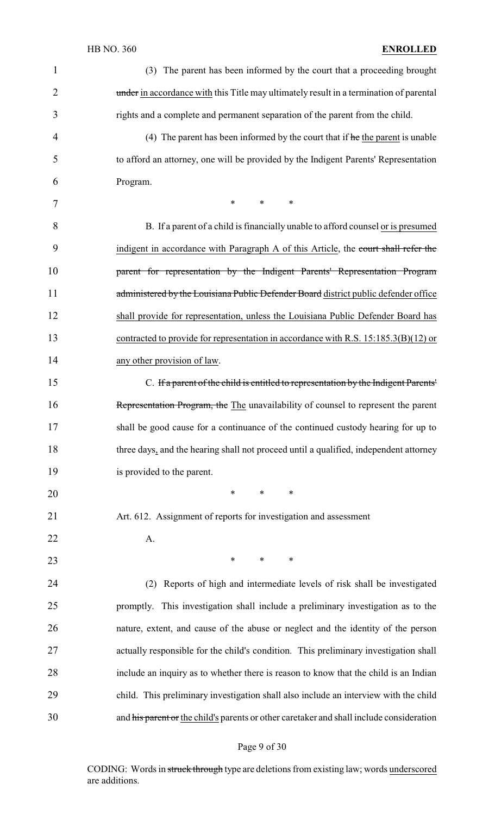| $\mathbf{1}$   | (3) The parent has been informed by the court that a proceeding brought                  |
|----------------|------------------------------------------------------------------------------------------|
| $\overline{2}$ | under in accordance with this Title may ultimately result in a termination of parental   |
| 3              | rights and a complete and permanent separation of the parent from the child.             |
| 4              | (4) The parent has been informed by the court that if $he$ the parent is unable          |
| 5              | to afford an attorney, one will be provided by the Indigent Parents' Representation      |
| 6              | Program.                                                                                 |
| 7              | $\ast$<br>$\ast$<br>∗                                                                    |
| 8              | B. If a parent of a child is financially unable to afford counsel or is presumed         |
| 9              | indigent in accordance with Paragraph A of this Article, the court shall refer the       |
| 10             | parent for representation by the Indigent Parents' Representation Program                |
| 11             | administered by the Louisiana Public Defender Board district public defender office      |
| 12             | shall provide for representation, unless the Louisiana Public Defender Board has         |
| 13             | contracted to provide for representation in accordance with R.S. $15:185.3(B)(12)$ or    |
| 14             | any other provision of law.                                                              |
| 15             | C. If a parent of the child is entitled to representation by the Indigent Parents'       |
| 16             | Representation Program, the The unavailability of counsel to represent the parent        |
| 17             | shall be good cause for a continuance of the continued custody hearing for up to         |
| 18             | three days, and the hearing shall not proceed until a qualified, independent attorney    |
| 19             | is provided to the parent.                                                               |
| 20             | $\ast$<br>$\ast$<br>$\ast$                                                               |
| 21             | Art. 612. Assignment of reports for investigation and assessment                         |
| 22             | A.                                                                                       |
| 23             | $*$ $*$<br>$\ast$<br>$\ast$                                                              |
| 24             | Reports of high and intermediate levels of risk shall be investigated<br>(2)             |
| 25             | promptly. This investigation shall include a preliminary investigation as to the         |
| 26             | nature, extent, and cause of the abuse or neglect and the identity of the person         |
| 27             | actually responsible for the child's condition. This preliminary investigation shall     |
| 28             | include an inquiry as to whether there is reason to know that the child is an Indian     |
| 29             | child. This preliminary investigation shall also include an interview with the child     |
| 30             | and his parent or the child's parents or other caretaker and shall include consideration |

Page 9 of 30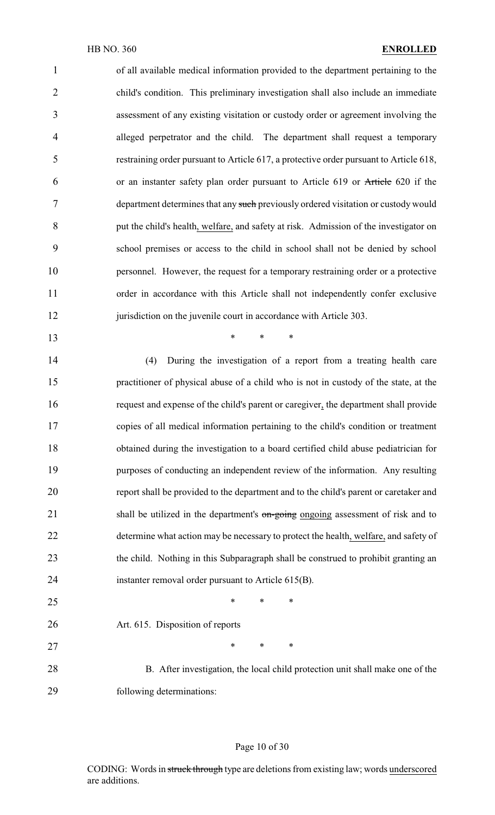of all available medical information provided to the department pertaining to the child's condition. This preliminary investigation shall also include an immediate assessment of any existing visitation or custody order or agreement involving the alleged perpetrator and the child. The department shall request a temporary restraining order pursuant to Article 617, a protective order pursuant to Article 618, or an instanter safety plan order pursuant to Article 619 or Article 620 if the department determines that any such previously ordered visitation or custody would put the child's health, welfare, and safety at risk. Admission of the investigator on school premises or access to the child in school shall not be denied by school personnel. However, the request for a temporary restraining order or a protective order in accordance with this Article shall not independently confer exclusive 12 jurisdiction on the juvenile court in accordance with Article 303.

 (4) During the investigation of a report from a treating health care practitioner of physical abuse of a child who is not in custody of the state, at the request and expense of the child's parent or caregiver, the department shall provide copies of all medical information pertaining to the child's condition or treatment obtained during the investigation to a board certified child abuse pediatrician for purposes of conducting an independent review of the information. Any resulting report shall be provided to the department and to the child's parent or caretaker and 21 shall be utilized in the department's on-going ongoing assessment of risk and to determine what action may be necessary to protect the health, welfare, and safety of the child. Nothing in this Subparagraph shall be construed to prohibit granting an instanter removal order pursuant to Article 615(B).

**\*** \* \* \*

 $*$  \* \* \* Art. 615. Disposition of reports 27 \* \* \* \* B. After investigation, the local child protection unit shall make one of the following determinations:

#### Page 10 of 30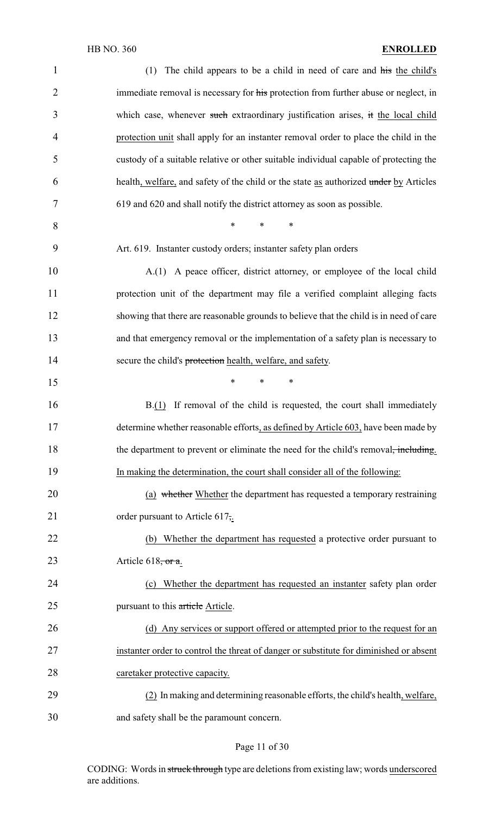| $\mathbf{1}$   | (1) The child appears to be a child in need of care and his the child's                |
|----------------|----------------------------------------------------------------------------------------|
| $\overline{2}$ | immediate removal is necessary for his protection from further abuse or neglect, in    |
| 3              | which case, whenever such extraordinary justification arises, it the local child       |
| 4              | protection unit shall apply for an instanter removal order to place the child in the   |
| 5              | custody of a suitable relative or other suitable individual capable of protecting the  |
| 6              | health, welfare, and safety of the child or the state as authorized under by Articles  |
| 7              | 619 and 620 and shall notify the district attorney as soon as possible.                |
| 8              | $\ast$<br>$\ast$<br>$\ast$                                                             |
| 9              | Art. 619. Instanter custody orders; instanter safety plan orders                       |
| 10             | A.(1) A peace officer, district attorney, or employee of the local child               |
| 11             | protection unit of the department may file a verified complaint alleging facts         |
| 12             | showing that there are reasonable grounds to believe that the child is in need of care |
| 13             | and that emergency removal or the implementation of a safety plan is necessary to      |
| 14             | secure the child's protection health, welfare, and safety.                             |
| 15             | $\ast$<br>$\ast$<br>$\ast$                                                             |
| 16             | B.(1) If removal of the child is requested, the court shall immediately                |
| 17             | determine whether reasonable efforts, as defined by Article 603, have been made by     |
| 18             | the department to prevent or eliminate the need for the child's removal, including.    |
| 19             | In making the determination, the court shall consider all of the following:            |
| 20             | (a) whether Whether the department has requested a temporary restraining               |
| 21             | order pursuant to Article 617,                                                         |
| 22             | Whether the department has requested a protective order pursuant to<br>(b)             |
| 23             | Article $618$ , or a.                                                                  |
| 24             | Whether the department has requested an instanter safety plan order<br>(c)             |
| 25             | pursuant to this article.                                                              |
| 26             | (d) Any services or support offered or attempted prior to the request for an           |
| 27             | instanter order to control the threat of danger or substitute for diminished or absent |
| 28             | caretaker protective capacity.                                                         |
| 29             | (2) In making and determining reasonable efforts, the child's health, welfare,         |
| 30             | and safety shall be the paramount concern.                                             |

# Page 11 of 30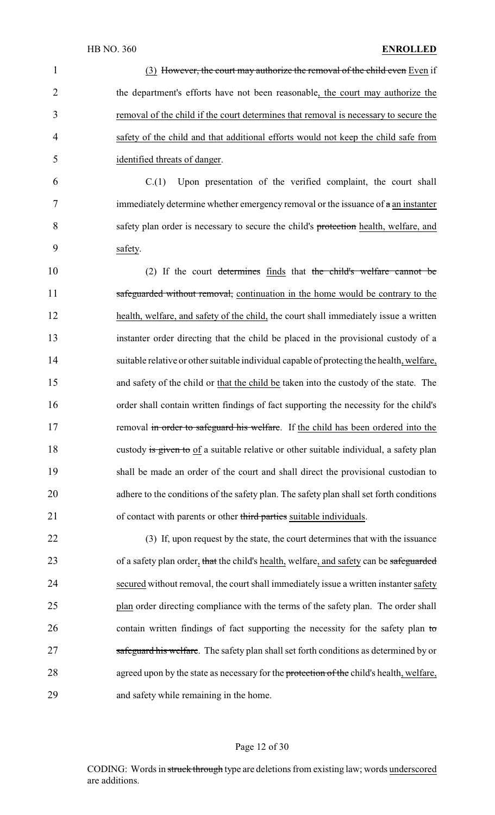1 (3) However, the court may authorize the removal of the child even Even if 2 the department's efforts have not been reasonable, the court may authorize the 3 removal of the child if the court determines that removal is necessary to secure the 4 safety of the child and that additional efforts would not keep the child safe from 5 identified threats of danger. 6 C.(1) Upon presentation of the verified complaint, the court shall 7 immediately determine whether emergency removal or the issuance of  $\alpha$  an instanter 8 safety plan order is necessary to secure the child's protection health, welfare, and 9 safety. 10 (2) If the court determines finds that the child's welfare cannot be 11 safeguarded without removal, continuation in the home would be contrary to the 12 health, welfare, and safety of the child, the court shall immediately issue a written 13 instanter order directing that the child be placed in the provisional custody of a 14 suitable relative or other suitable individual capable of protecting the health, welfare, 15 and safety of the child or that the child be taken into the custody of the state. The 16 order shall contain written findings of fact supporting the necessity for the child's 17 removal in order to safeguard his welfare. If the child has been ordered into the 18 custody is given to of a suitable relative or other suitable individual, a safety plan 19 shall be made an order of the court and shall direct the provisional custodian to 20 adhere to the conditions of the safety plan. The safety plan shall set forth conditions

22 (3) If, upon request by the state, the court determines that with the issuance 23 of a safety plan order, that the child's health, welfare, and safety can be safeguarded 24 secured without removal, the court shall immediately issue a written instanter safety 25 plan order directing compliance with the terms of the safety plan. The order shall 26 contain written findings of fact supporting the necessity for the safety plan to 27 safeguard his welfare. The safety plan shall set forth conditions as determined by or 28 agreed upon by the state as necessary for the protection of the child's health, welfare, 29 and safety while remaining in the home.

21 of contact with parents or other third parties suitable individuals.

#### Page 12 of 30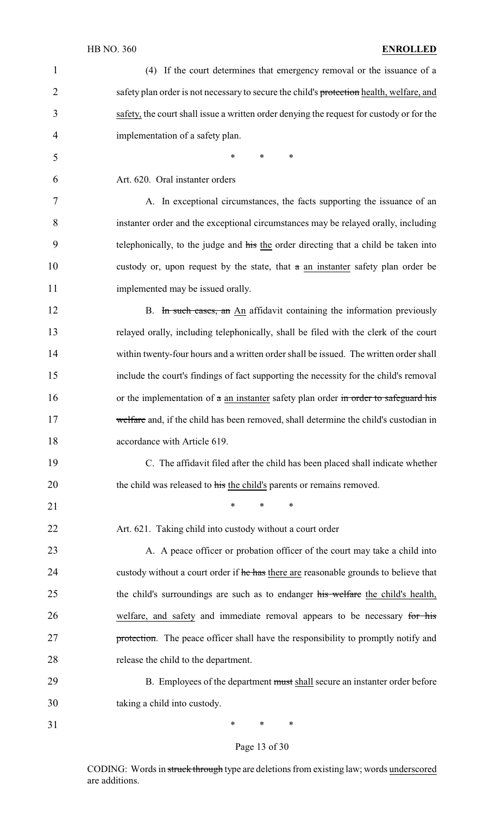| $\mathbf{1}$   | (4) If the court determines that emergency removal or the issuance of a                    |
|----------------|--------------------------------------------------------------------------------------------|
| $\overline{2}$ | safety plan order is not necessary to secure the child's protection health, welfare, and   |
| 3              | safety, the court shall issue a written order denying the request for custody or for the   |
| 4              | implementation of a safety plan.                                                           |
| 5              | $\ast$<br>$\ast$<br>∗                                                                      |
| 6              | Art. 620. Oral instanter orders                                                            |
| 7              | A. In exceptional circumstances, the facts supporting the issuance of an                   |
| 8              | instanter order and the exceptional circumstances may be relayed orally, including         |
| 9              | telephonically, to the judge and his the order directing that a child be taken into        |
| 10             | custody or, upon request by the state, that a an instanter safety plan order be            |
| 11             | implemented may be issued orally.                                                          |
| 12             | B. In such cases, an An affidavit containing the information previously                    |
| 13             | relayed orally, including telephonically, shall be filed with the clerk of the court       |
| 14             | within twenty-four hours and a written order shall be issued. The written order shall      |
| 15             | include the court's findings of fact supporting the necessity for the child's removal      |
| 16             | or the implementation of $\alpha$ an instanter safety plan order in order to safeguard his |
| 17             | welfare and, if the child has been removed, shall determine the child's custodian in       |
| 18             | accordance with Article 619.                                                               |
| 19             | C. The affidavit filed after the child has been placed shall indicate whether              |
| 20             | the child was released to his the child's parents or remains removed.                      |
| 21             | *<br>$\ast$<br>∗                                                                           |
| 22             | Art. 621. Taking child into custody without a court order                                  |
| 23             | A. A peace officer or probation officer of the court may take a child into                 |
| 24             | custody without a court order if he has there are reasonable grounds to believe that       |
| 25             | the child's surroundings are such as to endanger his welfare the child's health,           |
| 26             | welfare, and safety and immediate removal appears to be necessary for his                  |
| 27             | protection. The peace officer shall have the responsibility to promptly notify and         |
| 28             | release the child to the department.                                                       |
| 29             | B. Employees of the department must shall secure an instanter order before                 |
| 30             | taking a child into custody.                                                               |
| 31             | ∗<br>∗<br>∗                                                                                |

# Page 13 of 30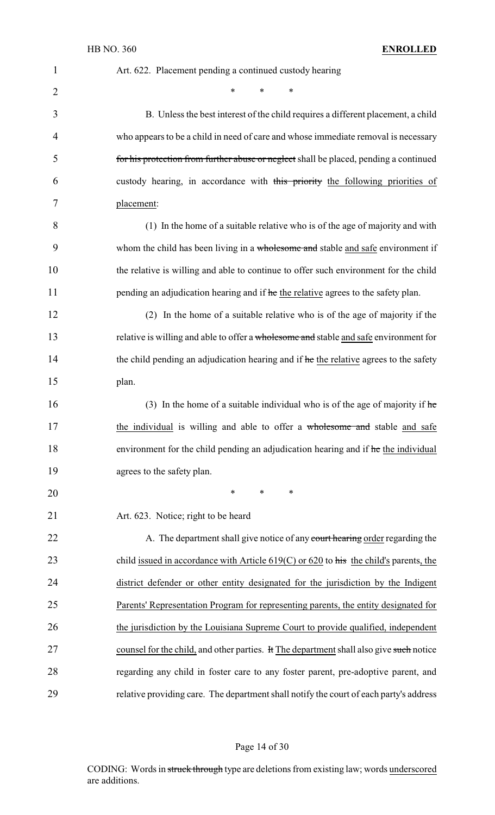| 1  | Art. 622. Placement pending a continued custody hearing                                   |
|----|-------------------------------------------------------------------------------------------|
| 2  | $\ast$<br>$\ast$<br>*                                                                     |
| 3  | B. Unless the best interest of the child requires a different placement, a child          |
| 4  | who appears to be a child in need of care and whose immediate removal is necessary        |
| 5  | for his protection from further abuse or neglect shall be placed, pending a continued     |
| 6  | custody hearing, in accordance with this priority the following priorities of             |
| 7  | placement:                                                                                |
| 8  | (1) In the home of a suitable relative who is of the age of majority and with             |
| 9  | whom the child has been living in a wholesome and stable and safe environment if          |
| 10 | the relative is willing and able to continue to offer such environment for the child      |
| 11 | pending an adjudication hearing and if he the relative agrees to the safety plan.         |
| 12 | (2) In the home of a suitable relative who is of the age of majority if the               |
| 13 | relative is willing and able to offer a wholesome and stable and safe environment for     |
| 14 | the child pending an adjudication hearing and if he the relative agrees to the safety     |
| 15 | plan.                                                                                     |
| 16 | (3) In the home of a suitable individual who is of the age of majority if $he$            |
| 17 | the individual is willing and able to offer a wholesome and stable and safe               |
| 18 | environment for the child pending an adjudication hearing and if he the individual        |
| 19 | agrees to the safety plan.                                                                |
| 20 | $\ast$<br>$\ast$<br>$\ast$                                                                |
| 21 | Art. 623. Notice; right to be heard                                                       |
| 22 | A. The department shall give notice of any court hearing order regarding the              |
| 23 | child issued in accordance with Article $619(C)$ or $620$ to his the child's parents, the |
| 24 | district defender or other entity designated for the jurisdiction by the Indigent         |
| 25 | Parents' Representation Program for representing parents, the entity designated for       |
| 26 | the jurisdiction by the Louisiana Supreme Court to provide qualified, independent         |
| 27 | counsel for the child, and other parties. It The department shall also give such notice   |
| 28 | regarding any child in foster care to any foster parent, pre-adoptive parent, and         |
| 29 | relative providing care. The department shall notify the court of each party's address    |

# Page 14 of 30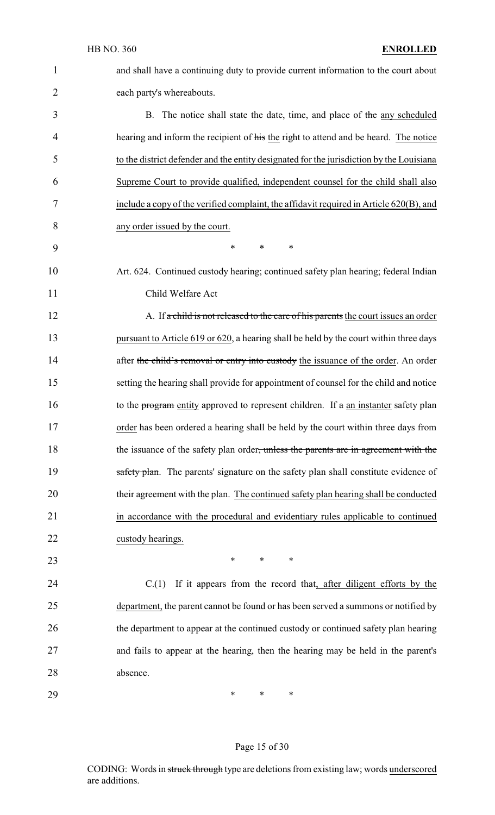and shall have a continuing duty to provide current information to the court about each party's whereabouts. 3 B. The notice shall state the date, time, and place of the any scheduled 4 hearing and inform the recipient of his the right to attend and be heard. The notice to the district defender and the entity designated for the jurisdiction by the Louisiana Supreme Court to provide qualified, independent counsel for the child shall also include a copy of the verified complaint, the affidavit required in Article 620(B), and any order issued by the court. \* \* \* Art. 624. Continued custody hearing; continued safety plan hearing; federal Indian Child Welfare Act 12 A. If a child is not released to the care of his parents the court issues an order pursuant to Article 619 or 620, a hearing shall be held by the court within three days 14 after the child's removal or entry into custody the issuance of the order. An order setting the hearing shall provide for appointment of counsel for the child and notice 16 to the program entity approved to represent children. If  $\pi$  an instanter safety plan order has been ordered a hearing shall be held by the court within three days from 18 the issuance of the safety plan order, unless the parents are in agreement with the 19 safety plan. The parents' signature on the safety plan shall constitute evidence of their agreement with the plan. The continued safety plan hearing shall be conducted in accordance with the procedural and evidentiary rules applicable to continued custody hearings. **\*** \* \* \* C.(1) If it appears from the record that, after diligent efforts by the department, the parent cannot be found or has been served a summons or notified by the department to appear at the continued custody or continued safety plan hearing and fails to appear at the hearing, then the hearing may be held in the parent's absence. \* \* \*

#### Page 15 of 30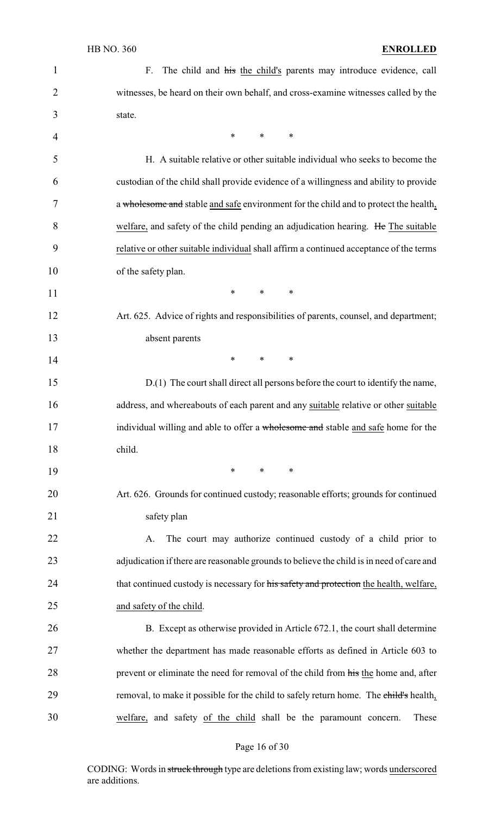| $\mathbf{1}$   | The child and his the child's parents may introduce evidence, call<br>F.                 |
|----------------|------------------------------------------------------------------------------------------|
| $\overline{2}$ | witnesses, be heard on their own behalf, and cross-examine witnesses called by the       |
| 3              | state.                                                                                   |
| $\overline{4}$ | $\ast$<br>$\ast$<br>∗                                                                    |
| 5              | H. A suitable relative or other suitable individual who seeks to become the              |
| 6              | custodian of the child shall provide evidence of a willingness and ability to provide    |
| 7              | a wholesome and stable and safe environment for the child and to protect the health,     |
| 8              | welfare, and safety of the child pending an adjudication hearing. He The suitable        |
| 9              | relative or other suitable individual shall affirm a continued acceptance of the terms   |
| 10             | of the safety plan.                                                                      |
| 11             | $\ast$<br>$\ast$<br>∗                                                                    |
| 12             | Art. 625. Advice of rights and responsibilities of parents, counsel, and department;     |
| 13             | absent parents                                                                           |
| 14             | $\ast$<br>$\ast$<br>∗                                                                    |
| 15             | D.(1) The court shall direct all persons before the court to identify the name,          |
| 16             | address, and whereabouts of each parent and any suitable relative or other suitable      |
| 17             | individual willing and able to offer a wholesome and stable and safe home for the        |
| 18             | child.                                                                                   |
| 19             | $\ast$<br>$\ast$<br>∗                                                                    |
| 20             | Art. 626. Grounds for continued custody; reasonable efforts; grounds for continued       |
| 21             | safety plan                                                                              |
| 22             | The court may authorize continued custody of a child prior to<br>A.                      |
| 23             | adjudication if there are reasonable grounds to believe the child is in need of care and |
| 24             | that continued custody is necessary for his safety and protection the health, welfare,   |
| 25             | and safety of the child.                                                                 |
| 26             | B. Except as otherwise provided in Article 672.1, the court shall determine              |
| 27             | whether the department has made reasonable efforts as defined in Article 603 to          |
| 28             | prevent or eliminate the need for removal of the child from his the home and, after      |
| 29             | removal, to make it possible for the child to safely return home. The child's health,    |
| 30             | welfare, and safety of the child shall be the paramount concern.<br>These                |
|                |                                                                                          |

# Page 16 of 30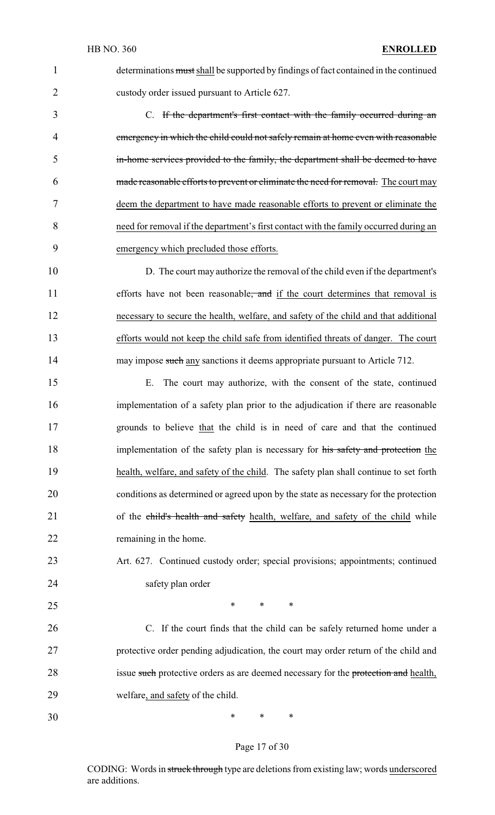determinations must shall be supported by findings of fact contained in the continued custody order issued pursuant to Article 627. C. If the department's first contact with the family occurred during an

 emergency in which the child could not safely remain at home even with reasonable in-home services provided to the family, the department shall be deemed to have made reasonable efforts to prevent or eliminate the need for removal. The court may deem the department to have made reasonable efforts to prevent or eliminate the need for removal if the department's first contact with the family occurred during an emergency which precluded those efforts.

 D. The court may authorize the removal of the child even if the department's 11 efforts have not been reasonable, and if the court determines that removal is necessary to secure the health, welfare, and safety of the child and that additional efforts would not keep the child safe from identified threats of danger. The court 14 may impose such any sanctions it deems appropriate pursuant to Article 712.

 E. The court may authorize, with the consent of the state, continued implementation of a safety plan prior to the adjudication if there are reasonable grounds to believe that the child is in need of care and that the continued 18 implementation of the safety plan is necessary for his safety and protection the health, welfare, and safety of the child. The safety plan shall continue to set forth conditions as determined or agreed upon by the state as necessary for the protection 21 of the child's health and safety health, welfare, and safety of the child while remaining in the home.

# Art. 627. Continued custody order; special provisions; appointments; continued safety plan order

 $*$  \* \* \*

 C. If the court finds that the child can be safely returned home under a protective order pending adjudication, the court may order return of the child and 28 issue such protective orders as are deemed necessary for the protection and health, welfare, and safety of the child.

\* \* \*

#### Page 17 of 30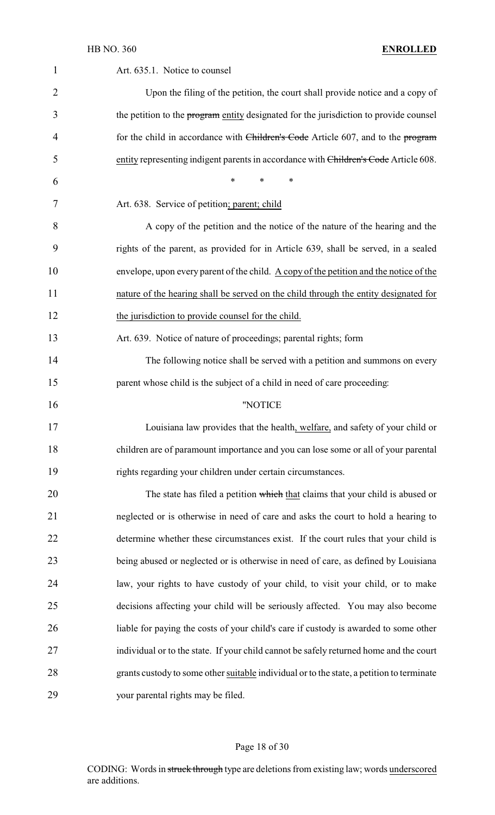| $\mathbf 1$ | Art. 635.1. Notice to counsel                                                             |
|-------------|-------------------------------------------------------------------------------------------|
| 2           | Upon the filing of the petition, the court shall provide notice and a copy of             |
| 3           | the petition to the program entity designated for the jurisdiction to provide counsel     |
| 4           | for the child in accordance with Children's Code Article 607, and to the program          |
| 5           | entity representing indigent parents in accordance with Children's Code Article 608.      |
| 6           | $\ast$<br>$\ast$<br>∗                                                                     |
| 7           | Art. 638. Service of petition; parent; child                                              |
| 8           | A copy of the petition and the notice of the nature of the hearing and the                |
| 9           | rights of the parent, as provided for in Article 639, shall be served, in a sealed        |
| 10          | envelope, upon every parent of the child. A copy of the petition and the notice of the    |
| 11          | nature of the hearing shall be served on the child through the entity designated for      |
| 12          | the jurisdiction to provide counsel for the child.                                        |
| 13          | Art. 639. Notice of nature of proceedings; parental rights; form                          |
| 14          | The following notice shall be served with a petition and summons on every                 |
| 15          | parent whose child is the subject of a child in need of care proceeding:                  |
| 16          | "NOTICE                                                                                   |
| 17          | Louisiana law provides that the health, welfare, and safety of your child or              |
| 18          | children are of paramount importance and you can lose some or all of your parental        |
| 19          | rights regarding your children under certain circumstances.                               |
| 20          | The state has filed a petition which that claims that your child is abused or             |
| 21          | neglected or is otherwise in need of care and asks the court to hold a hearing to         |
| 22          | determine whether these circumstances exist. If the court rules that your child is        |
| 23          | being abused or neglected or is otherwise in need of care, as defined by Louisiana        |
| 24          | law, your rights to have custody of your child, to visit your child, or to make           |
| 25          | decisions affecting your child will be seriously affected. You may also become            |
| 26          | liable for paying the costs of your child's care if custody is awarded to some other      |
| 27          | individual or to the state. If your child cannot be safely returned home and the court    |
| 28          | grants custody to some other suitable individual or to the state, a petition to terminate |
| 29          | your parental rights may be filed.                                                        |

# Page 18 of 30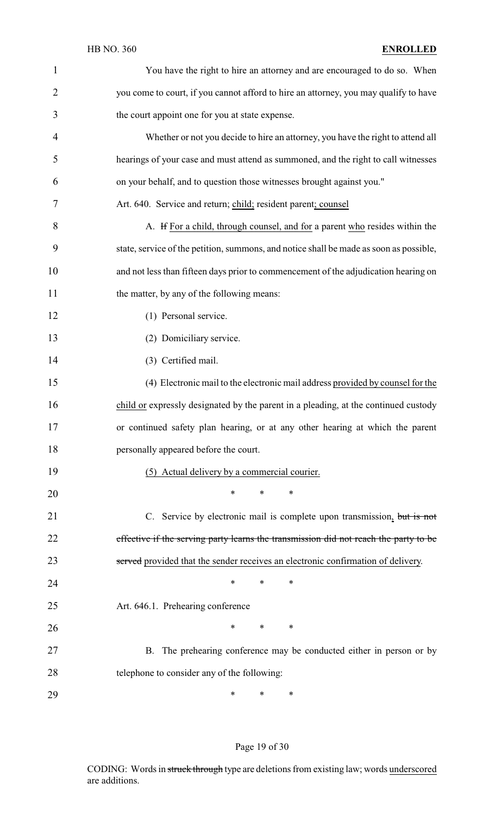| $\mathbf{1}$   | You have the right to hire an attorney and are encouraged to do so. When               |
|----------------|----------------------------------------------------------------------------------------|
| $\overline{2}$ | you come to court, if you cannot afford to hire an attorney, you may qualify to have   |
| 3              | the court appoint one for you at state expense.                                        |
| $\overline{4}$ | Whether or not you decide to hire an attorney, you have the right to attend all        |
| 5              | hearings of your case and must attend as summoned, and the right to call witnesses     |
| 6              | on your behalf, and to question those witnesses brought against you."                  |
| 7              | Art. 640. Service and return; child; resident parent; counsel                          |
| 8              | A. If For a child, through counsel, and for a parent who resides within the            |
| 9              | state, service of the petition, summons, and notice shall be made as soon as possible, |
| 10             | and not less than fifteen days prior to commencement of the adjudication hearing on    |
| 11             | the matter, by any of the following means:                                             |
| 12             | (1) Personal service.                                                                  |
| 13             | (2) Domiciliary service.                                                               |
| 14             | (3) Certified mail.                                                                    |
| 15             | (4) Electronic mail to the electronic mail address provided by counsel for the         |
| 16             | child or expressly designated by the parent in a pleading, at the continued custody    |
| 17             | or continued safety plan hearing, or at any other hearing at which the parent          |
| 18             | personally appeared before the court.                                                  |
| 19             | (5) Actual delivery by a commercial courier.                                           |
| 20             | ∗<br>∗<br>∗                                                                            |
| 21             | C. Service by electronic mail is complete upon transmission, but is not                |
| 22             | effective if the serving party learns the transmission did not reach the party to be   |
| 23             | served provided that the sender receives an electronic confirmation of delivery.       |
| 24             | ∗<br>*<br>∗                                                                            |
| 25             | Art. 646.1. Prehearing conference                                                      |
| 26             | ∗<br>∗<br>∗                                                                            |
| 27             | B. The prehearing conference may be conducted either in person or by                   |
| 28             | telephone to consider any of the following:                                            |
| 29             | ∗<br>∗<br>∗                                                                            |

# Page 19 of 30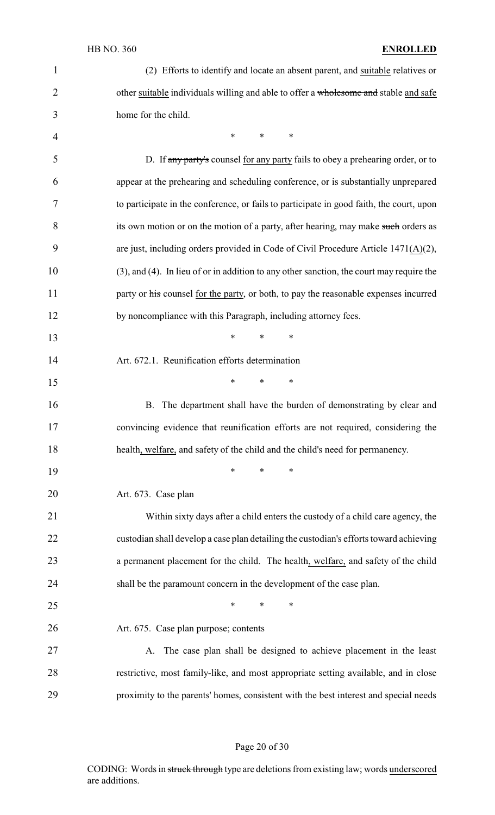| $\mathbf{1}$   | (2) Efforts to identify and locate an absent parent, and suitable relatives or           |
|----------------|------------------------------------------------------------------------------------------|
| $\overline{2}$ | other suitable individuals willing and able to offer a wholesome and stable and safe     |
| 3              | home for the child.                                                                      |
| $\overline{4}$ | $\ast$<br>∗<br>∗                                                                         |
| 5              | D. If any party's counsel for any party fails to obey a prehearing order, or to          |
| 6              | appear at the prehearing and scheduling conference, or is substantially unprepared       |
| 7              | to participate in the conference, or fails to participate in good faith, the court, upon |
| 8              | its own motion or on the motion of a party, after hearing, may make such orders as       |
| 9              | are just, including orders provided in Code of Civil Procedure Article 1471(A)(2),       |
| 10             | (3), and (4). In lieu of or in addition to any other sanction, the court may require the |
| 11             | party or his counsel for the party, or both, to pay the reasonable expenses incurred     |
| 12             | by noncompliance with this Paragraph, including attorney fees.                           |
| 13             | $\ast$<br>$\ast$<br>$\ast$                                                               |
| 14             | Art. 672.1. Reunification efforts determination                                          |
| 15             | $\ast$<br>$\ast$<br>$\ast$                                                               |
| 16             | B. The department shall have the burden of demonstrating by clear and                    |
| 17             | convincing evidence that reunification efforts are not required, considering the         |
| 18             | health, welfare, and safety of the child and the child's need for permanency.            |
| 19             | $\ast$<br>$\ast$<br>∗                                                                    |
| 20             | Art. 673. Case plan                                                                      |
| 21             | Within sixty days after a child enters the custody of a child care agency, the           |
| 22             | custodian shall develop a case plan detailing the custodian's efforts toward achieving   |
| 23             | a permanent placement for the child. The health, welfare, and safety of the child        |
| 24             | shall be the paramount concern in the development of the case plan.                      |
| 25             | ∗<br>$\ast$<br>∗                                                                         |
| 26             | Art. 675. Case plan purpose; contents                                                    |
| 27             | A. The case plan shall be designed to achieve placement in the least                     |
| 28             | restrictive, most family-like, and most appropriate setting available, and in close      |
| 29             | proximity to the parents' homes, consistent with the best interest and special needs     |

# Page 20 of 30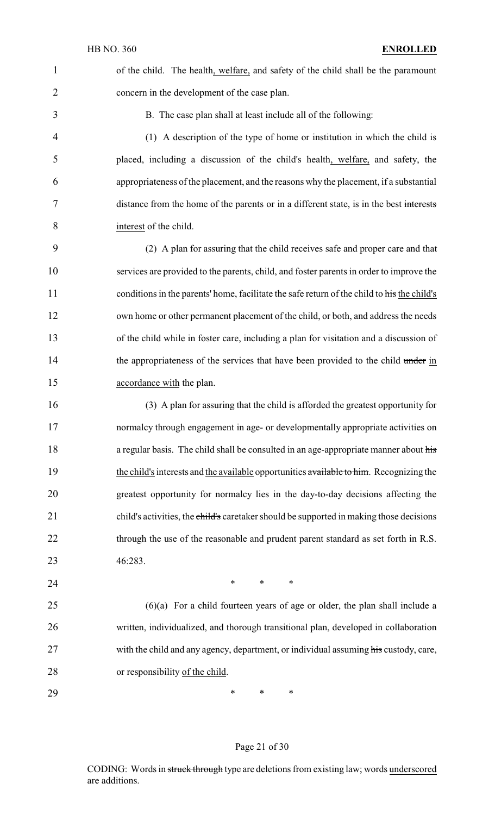of the child. The health, welfare, and safety of the child shall be the paramount concern in the development of the case plan.

B. The case plan shall at least include all of the following:

 (1) A description of the type of home or institution in which the child is placed, including a discussion of the child's health, welfare, and safety, the appropriateness of the placement, and the reasons why the placement, if a substantial distance from the home of the parents or in a different state, is in the best interests interest of the child.

 (2) A plan for assuring that the child receives safe and proper care and that services are provided to the parents, child, and foster parents in order to improve the 11 conditions in the parents' home, facilitate the safe return of the child to his the child's own home or other permanent placement of the child, or both, and address the needs of the child while in foster care, including a plan for visitation and a discussion of 14 the appropriateness of the services that have been provided to the child under in accordance with the plan.

 (3) A plan for assuring that the child is afforded the greatest opportunity for normalcy through engagement in age- or developmentally appropriate activities on 18 a regular basis. The child shall be consulted in an age-appropriate manner about his 19 the child's interests and the available opportunities available to him. Recognizing the greatest opportunity for normalcy lies in the day-to-day decisions affecting the 21 child's activities, the child's caretaker should be supported in making those decisions 22 through the use of the reasonable and prudent parent standard as set forth in R.S. 46:283.

**\*** \* \* \*

 (6)(a) For a child fourteen years of age or older, the plan shall include a written, individualized, and thorough transitional plan, developed in collaboration 27 with the child and any agency, department, or individual assuming his custody, care, or responsibility of the child.

**\*** \* \* \*

#### Page 21 of 30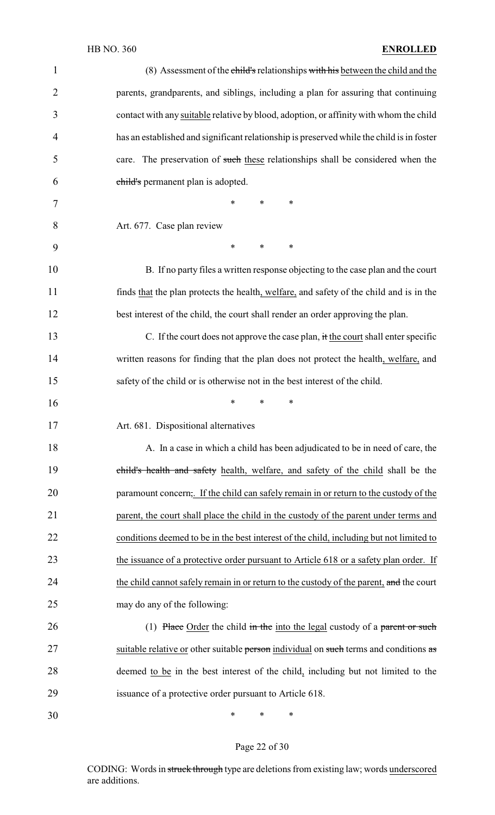| $\mathbf{1}$   | (8) Assessment of the child's relationships with his between the child and the            |
|----------------|-------------------------------------------------------------------------------------------|
| $\overline{2}$ | parents, grandparents, and siblings, including a plan for assuring that continuing        |
| 3              | contact with any suitable relative by blood, adoption, or affinity with whom the child    |
| 4              | has an established and significant relationship is preserved while the child is in foster |
| 5              | care. The preservation of such these relationships shall be considered when the           |
| 6              | child's permanent plan is adopted.                                                        |
| 7              | $\ast$<br>*<br>∗                                                                          |
| 8              | Art. 677. Case plan review                                                                |
| 9              | $\ast$<br>$\ast$<br>∗                                                                     |
| 10             | B. If no party files a written response objecting to the case plan and the court          |
| 11             | finds that the plan protects the health, welfare, and safety of the child and is in the   |
| 12             | best interest of the child, the court shall render an order approving the plan.           |
| 13             | C. If the court does not approve the case plan, it the court shall enter specific         |
| 14             | written reasons for finding that the plan does not protect the health, welfare, and       |
| 15             | safety of the child or is otherwise not in the best interest of the child.                |
| 16             | ∗<br>∗<br>*                                                                               |
| 17             | Art. 681. Dispositional alternatives                                                      |
| 18             | A. In a case in which a child has been adjudicated to be in need of care, the             |
| 19             | child's health and safety health, welfare, and safety of the child shall be the           |
| 20             | paramount concern,. If the child can safely remain in or return to the custody of the     |
| 21             | parent, the court shall place the child in the custody of the parent under terms and      |
| 22             | conditions deemed to be in the best interest of the child, including but not limited to   |
| 23             | the issuance of a protective order pursuant to Article 618 or a safety plan order. If     |
| 24             | the child cannot safely remain in or return to the custody of the parent, and the court   |
| 25             | may do any of the following:                                                              |
| 26             | (1) Place Order the child in the into the legal custody of a parent or such               |
| 27             | suitable relative or other suitable person individual on such terms and conditions as     |
| 28             | deemed to be in the best interest of the child, including but not limited to the          |
| 29             | issuance of a protective order pursuant to Article 618.                                   |
| 30             | ∗<br>$\ast$<br>$\ast$                                                                     |

# Page 22 of 30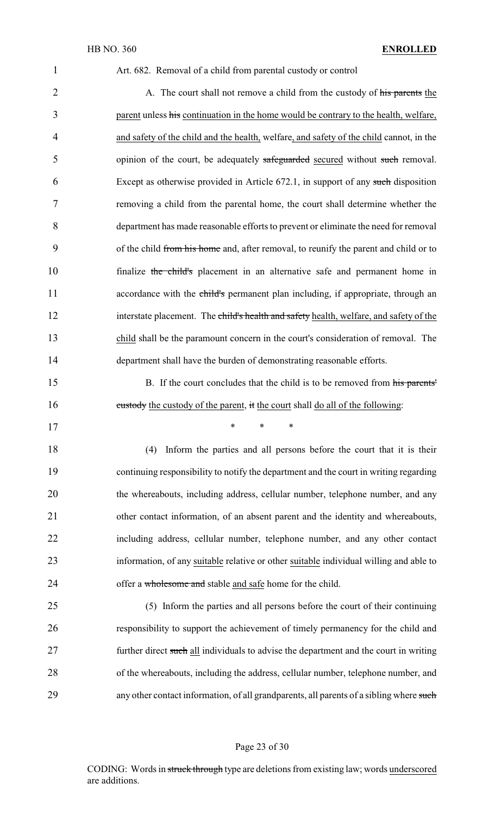| 1              | Art. 682. Removal of a child from parental custody or control                           |
|----------------|-----------------------------------------------------------------------------------------|
| $\overline{2}$ | A. The court shall not remove a child from the custody of his parents the               |
| 3              | parent unless his continuation in the home would be contrary to the health, welfare,    |
| 4              | and safety of the child and the health, welfare, and safety of the child cannot, in the |
| 5              | opinion of the court, be adequately safeguarded secured without such removal.           |
| 6              | Except as otherwise provided in Article 672.1, in support of any such disposition       |
| 7              | removing a child from the parental home, the court shall determine whether the          |
| 8              | department has made reasonable efforts to prevent or eliminate the need for removal     |
| 9              | of the child from his home and, after removal, to reunify the parent and child or to    |
| 10             | finalize the child's placement in an alternative safe and permanent home in             |
| 11             | accordance with the child's permanent plan including, if appropriate, through an        |
| 12             | interstate placement. The child's health and safety health, welfare, and safety of the  |
| 13             | child shall be the paramount concern in the court's consideration of removal. The       |
| 14             | department shall have the burden of demonstrating reasonable efforts.                   |
|                |                                                                                         |

15 B. If the court concludes that the child is to be removed from his parents' 16 custody the custody of the parent, it the court shall do all of the following:

17 \* \* \*

 (4) Inform the parties and all persons before the court that it is their continuing responsibility to notify the department and the court in writing regarding the whereabouts, including address, cellular number, telephone number, and any other contact information, of an absent parent and the identity and whereabouts, including address, cellular number, telephone number, and any other contact 23 information, of any suitable relative or other suitable individual willing and able to 24 offer a wholesome and stable and safe home for the child.

25 (5) Inform the parties and all persons before the court of their continuing 26 responsibility to support the achievement of timely permanency for the child and 27 further direct such all individuals to advise the department and the court in writing 28 of the whereabouts, including the address, cellular number, telephone number, and 29 any other contact information, of all grandparents, all parents of a sibling where such

#### Page 23 of 30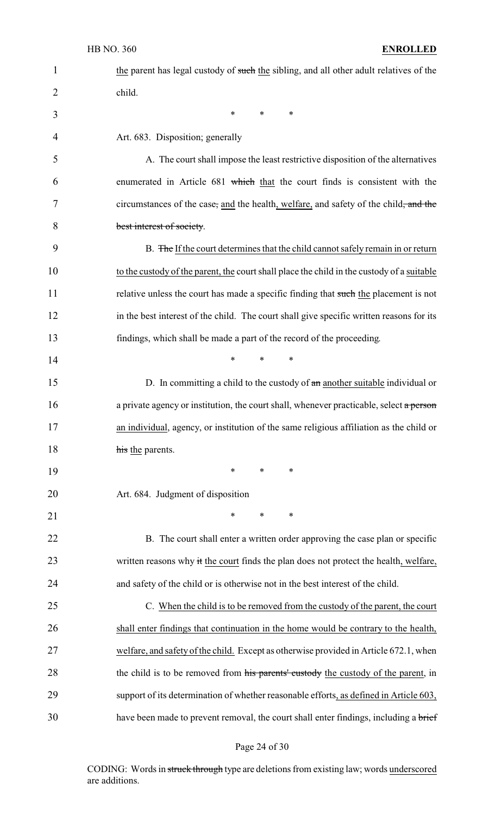| $\mathbf{1}$   | the parent has legal custody of such the sibling, and all other adult relatives of the     |
|----------------|--------------------------------------------------------------------------------------------|
| $\overline{2}$ | child.                                                                                     |
| 3              | $\ast$<br>$\ast$<br>∗                                                                      |
| $\overline{4}$ | Art. 683. Disposition; generally                                                           |
| 5              | A. The court shall impose the least restrictive disposition of the alternatives            |
| 6              | enumerated in Article 681 which that the court finds is consistent with the                |
| 7              | circumstances of the case, and the health, welfare, and safety of the child, and the       |
| 8              | best interest of society.                                                                  |
| 9              | B. The If the court determines that the child cannot safely remain in or return            |
| 10             | to the custody of the parent, the court shall place the child in the custody of a suitable |
| 11             | relative unless the court has made a specific finding that such the placement is not       |
| 12             | in the best interest of the child. The court shall give specific written reasons for its   |
| 13             | findings, which shall be made a part of the record of the proceeding.                      |
| 14             | $\ast$<br>$\ast$<br>$\ast$                                                                 |
| 15             | D. In committing a child to the custody of $\theta$ and another suitable individual or     |
| 16             | a private agency or institution, the court shall, whenever practicable, select a person    |
| 17             | an individual, agency, or institution of the same religious affiliation as the child or    |
| 18             | his the parents.                                                                           |
| 19             | $\ast$<br>$\ast$<br>∗                                                                      |
| 20             | Art. 684. Judgment of disposition                                                          |
| 21             | $\ast$<br>$\ast$<br>∗                                                                      |
| 22             | B. The court shall enter a written order approving the case plan or specific               |
| 23             | written reasons why it the court finds the plan does not protect the health, welfare,      |
| 24             | and safety of the child or is otherwise not in the best interest of the child.             |
| 25             | C. When the child is to be removed from the custody of the parent, the court               |
| 26             | shall enter findings that continuation in the home would be contrary to the health,        |
| 27             | welfare, and safety of the child. Except as otherwise provided in Article 672.1, when      |
| 28             | the child is to be removed from his parents' custody the custody of the parent, in         |
| 29             | support of its determination of whether reasonable efforts, as defined in Article 603,     |
| 30             | have been made to prevent removal, the court shall enter findings, including a brief       |

# Page 24 of 30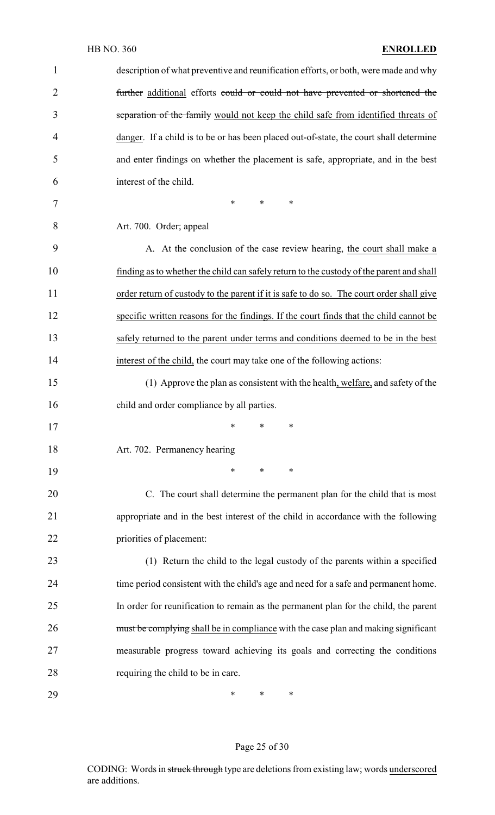| $\mathbf{1}$   | description of what preventive and reunification efforts, or both, were made and why     |
|----------------|------------------------------------------------------------------------------------------|
| $\overline{2}$ | further additional efforts could or could not have prevented or shortened the            |
| 3              | separation of the family would not keep the child safe from identified threats of        |
| 4              | danger. If a child is to be or has been placed out-of-state, the court shall determine   |
| 5              | and enter findings on whether the placement is safe, appropriate, and in the best        |
| 6              | interest of the child.                                                                   |
| 7              | $\ast$<br>*<br>*                                                                         |
| 8              | Art. 700. Order; appeal                                                                  |
| 9              | A. At the conclusion of the case review hearing, the court shall make a                  |
| 10             | finding as to whether the child can safely return to the custody of the parent and shall |
| 11             | order return of custody to the parent if it is safe to do so. The court order shall give |
| 12             | specific written reasons for the findings. If the court finds that the child cannot be   |
| 13             | safely returned to the parent under terms and conditions deemed to be in the best        |
| 14             | interest of the child, the court may take one of the following actions:                  |
| 15             | (1) Approve the plan as consistent with the health, welfare, and safety of the           |
| 16             | child and order compliance by all parties.                                               |
| 17             | ∗<br>∗<br>∗                                                                              |
| 18             | Art. 702. Permanency hearing                                                             |
| 19             | $\ast$<br>*<br>∗                                                                         |
| 20             | C. The court shall determine the permanent plan for the child that is most               |
| 21             | appropriate and in the best interest of the child in accordance with the following       |
| 22             | priorities of placement:                                                                 |
| 23             | (1) Return the child to the legal custody of the parents within a specified              |
| 24             | time period consistent with the child's age and need for a safe and permanent home.      |
| 25             | In order for reunification to remain as the permanent plan for the child, the parent     |
| 26             | must be complying shall be in compliance with the case plan and making significant       |
| 27             | measurable progress toward achieving its goals and correcting the conditions             |
| 28             | requiring the child to be in care.                                                       |
| 29             | ∗<br>∗<br>∗                                                                              |

# Page 25 of 30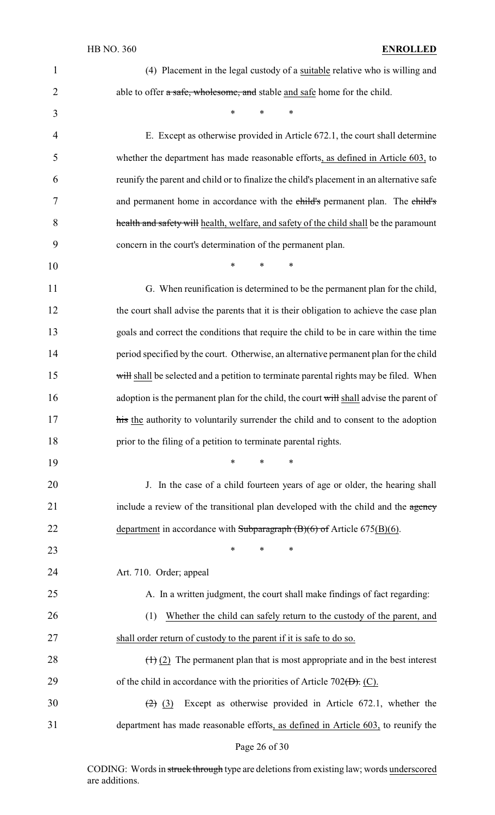| $\mathbf{1}$   | (4) Placement in the legal custody of a suitable relative who is willing and             |
|----------------|------------------------------------------------------------------------------------------|
| $\overline{2}$ | able to offer a safe, wholesome, and stable and safe home for the child.                 |
| 3              | $\ast$<br>$\ast$<br>$\ast$                                                               |
| 4              | E. Except as otherwise provided in Article 672.1, the court shall determine              |
| 5              | whether the department has made reasonable efforts, as defined in Article 603, to        |
| 6              | reunify the parent and child or to finalize the child's placement in an alternative safe |
| 7              | and permanent home in accordance with the child's permanent plan. The child's            |
| 8              | health and safety will health, welfare, and safety of the child shall be the paramount   |
| 9              | concern in the court's determination of the permanent plan.                              |
| 10             | $\ast$<br>$\ast$<br>∗                                                                    |
| 11             | G. When reunification is determined to be the permanent plan for the child,              |
| 12             | the court shall advise the parents that it is their obligation to achieve the case plan  |
| 13             | goals and correct the conditions that require the child to be in care within the time    |
| 14             | period specified by the court. Otherwise, an alternative permanent plan for the child    |
| 15             | will shall be selected and a petition to terminate parental rights may be filed. When    |
| 16             | adoption is the permanent plan for the child, the court will shall advise the parent of  |
| 17             | his the authority to voluntarily surrender the child and to consent to the adoption      |
| 18             | prior to the filing of a petition to terminate parental rights.                          |
| 19             | $\ast$<br>$\ast$<br>$\ast$                                                               |
| 20             | J. In the case of a child fourteen years of age or older, the hearing shall              |
| 21             | include a review of the transitional plan developed with the child and the agency        |
| 22             | department in accordance with Subparagraph $(B)(6)$ of Article 675(B)(6).                |
| 23             | $\ast$<br>$\ast$<br>∗                                                                    |
| 24             | Art. 710. Order; appeal                                                                  |
| 25             | A. In a written judgment, the court shall make findings of fact regarding:               |
| 26             | Whether the child can safely return to the custody of the parent, and<br>(1)             |
| 27             | shall order return of custody to the parent if it is safe to do so.                      |
| 28             | $(1)$ (2) The permanent plan that is most appropriate and in the best interest           |
| 29             | of the child in accordance with the priorities of Article 702( $\overline{D}$ ). (C).    |
| 30             | Except as otherwise provided in Article 672.1, whether the<br>$(2)$ (3)                  |
| 31             | department has made reasonable efforts, as defined in Article 603, to reunify the        |

Page 26 of 30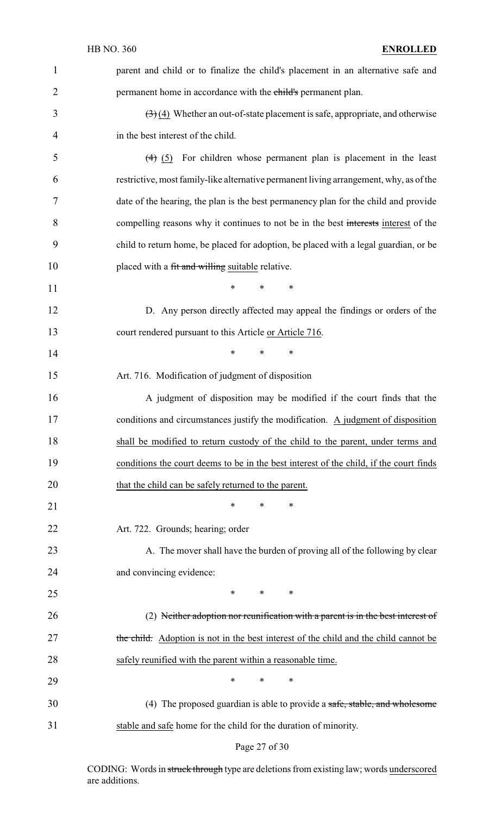| 1              | parent and child or to finalize the child's placement in an alternative safe and                     |
|----------------|------------------------------------------------------------------------------------------------------|
| $\overline{2}$ | permanent home in accordance with the child's permanent plan.                                        |
| 3              | $\left(\frac{1}{2}\right)$ (4) Whether an out-of-state placement is safe, appropriate, and otherwise |
| 4              | in the best interest of the child.                                                                   |
| 5              | $(4)$ (5) For children whose permanent plan is placement in the least                                |
| 6              | restrictive, most family-like alternative permanent living arrangement, why, as of the               |
| 7              | date of the hearing, the plan is the best permanency plan for the child and provide                  |
| 8              | compelling reasons why it continues to not be in the best interests interest of the                  |
| 9              | child to return home, be placed for adoption, be placed with a legal guardian, or be                 |
| 10             | placed with a fit and willing suitable relative.                                                     |
| 11             | *<br>$\ast$<br>$\ast$                                                                                |
| 12             | D. Any person directly affected may appeal the findings or orders of the                             |
| 13             | court rendered pursuant to this Article or Article 716.                                              |
| 14             | $\ast$<br>$\ast$<br>$\ast$                                                                           |
| 15             | Art. 716. Modification of judgment of disposition                                                    |
| 16             | A judgment of disposition may be modified if the court finds that the                                |
| 17             | conditions and circumstances justify the modification. A judgment of disposition                     |
| 18             | shall be modified to return custody of the child to the parent, under terms and                      |
| 19             | conditions the court deems to be in the best interest of the child, if the court finds               |
| 20             | that the child can be safely returned to the parent.                                                 |
| 21             | *<br>*<br>∗                                                                                          |
| 22             | Art. 722. Grounds; hearing; order                                                                    |
| 23             | A. The mover shall have the burden of proving all of the following by clear                          |
| 24             | and convincing evidence:                                                                             |
| 25             | *<br>$\ast$<br>∗                                                                                     |
| 26             | (2) Neither adoption nor reunification with a parent is in the best interest of                      |
| 27             | the child. Adoption is not in the best interest of the child and the child cannot be                 |
| 28             | safely reunified with the parent within a reasonable time.                                           |
| 29             | *<br>*<br>∗                                                                                          |
| 30             | (4) The proposed guardian is able to provide a safe, stable, and wholesome                           |
| 31             | stable and safe home for the child for the duration of minority.                                     |

# Page 27 of 30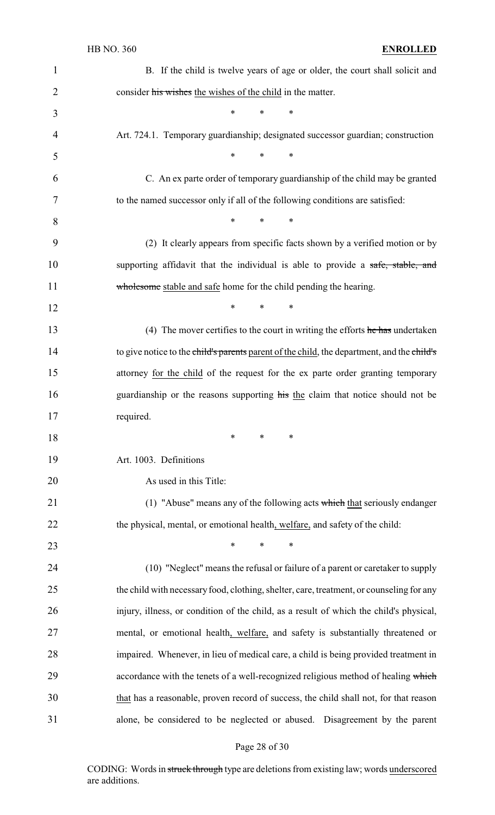| 1              | B. If the child is twelve years of age or older, the court shall solicit and                                  |
|----------------|---------------------------------------------------------------------------------------------------------------|
| $\overline{2}$ | consider his wishes the wishes of the child in the matter.                                                    |
| 3              | $\ast$<br>$\ast$<br>$\ast$                                                                                    |
| 4              | Art. 724.1. Temporary guardianship; designated successor guardian; construction                               |
| 5              | $\ast$<br>$\ast$<br>$\ast$                                                                                    |
| 6              | C. An ex parte order of temporary guardianship of the child may be granted                                    |
| 7              | to the named successor only if all of the following conditions are satisfied:                                 |
| 8              | $\ast$<br>$\ast$<br>$\ast$                                                                                    |
| 9              | (2) It clearly appears from specific facts shown by a verified motion or by                                   |
| 10             | supporting affidavit that the individual is able to provide a safe, stable, and                               |
| 11             | wholesome stable and safe home for the child pending the hearing.                                             |
| 12             | $\ast$<br>$\ast$<br>$\ast$                                                                                    |
| 13             | (4) The mover certifies to the court in writing the efforts $\frac{h}{h}$ and $\frac{h}{h}$ and $\frac{h}{h}$ |
| 14             | to give notice to the child's parents parent of the child, the department, and the child's                    |
| 15             | attorney for the child of the request for the ex parte order granting temporary                               |
| 16             | guardianship or the reasons supporting his the claim that notice should not be                                |
| 17             | required.                                                                                                     |
| 18             | ∗<br>*<br>∗                                                                                                   |
| 19             | Art. 1003. Definitions                                                                                        |
| 20             | As used in this Title:                                                                                        |
| 21             | (1) "Abuse" means any of the following acts which that seriously endanger                                     |
| 22             | the physical, mental, or emotional health, welfare, and safety of the child:                                  |
| 23             | $\ast$<br>$\ast$<br>∗                                                                                         |
| 24             | (10) "Neglect" means the refusal or failure of a parent or caretaker to supply                                |
| 25             | the child with necessary food, clothing, shelter, care, treatment, or counseling for any                      |
| 26             | injury, illness, or condition of the child, as a result of which the child's physical,                        |
| 27             | mental, or emotional health, welfare, and safety is substantially threatened or                               |
| 28             | impaired. Whenever, in lieu of medical care, a child is being provided treatment in                           |
| 29             | accordance with the tenets of a well-recognized religious method of healing which                             |
| 30             | that has a reasonable, proven record of success, the child shall not, for that reason                         |
| 31             | alone, be considered to be neglected or abused. Disagreement by the parent                                    |

# Page 28 of 30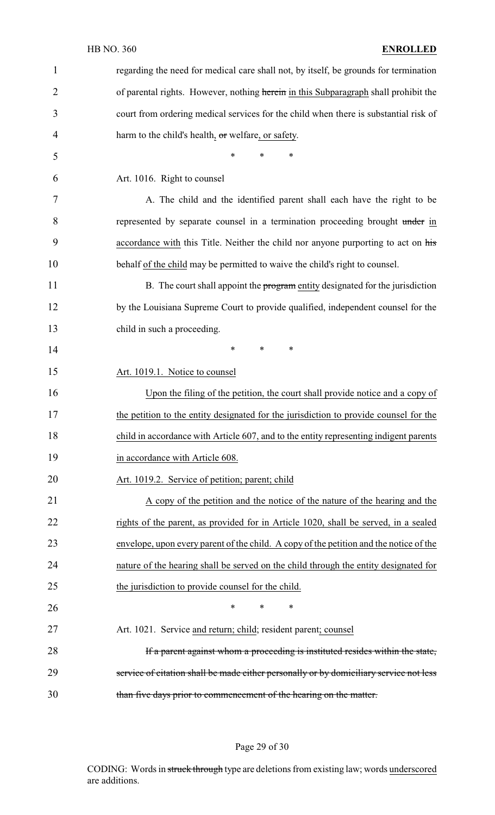| $\mathbf{1}$   | regarding the need for medical care shall not, by itself, be grounds for termination   |
|----------------|----------------------------------------------------------------------------------------|
| $\overline{2}$ | of parental rights. However, nothing herein in this Subparagraph shall prohibit the    |
| 3              | court from ordering medical services for the child when there is substantial risk of   |
| 4              | harm to the child's health, or welfare, or safety.                                     |
| 5              | *<br>$\ast$<br>$\ast$                                                                  |
| 6              | Art. 1016. Right to counsel                                                            |
| 7              | A. The child and the identified parent shall each have the right to be                 |
| 8              | represented by separate counsel in a termination proceeding brought under in           |
| 9              | accordance with this Title. Neither the child nor anyone purporting to act on his      |
| 10             | behalf of the child may be permitted to waive the child's right to counsel.            |
| 11             | B. The court shall appoint the program entity designated for the jurisdiction          |
| 12             | by the Louisiana Supreme Court to provide qualified, independent counsel for the       |
| 13             | child in such a proceeding.                                                            |
| 14             | $\ast$<br>∗<br>$\ast$                                                                  |
| 15             | Art. 1019.1. Notice to counsel                                                         |
| 16             | Upon the filing of the petition, the court shall provide notice and a copy of          |
| 17             | the petition to the entity designated for the jurisdiction to provide counsel for the  |
| 18             | child in accordance with Article 607, and to the entity representing indigent parents  |
| 19             | in accordance with Article 608.                                                        |
| 20             | Art. 1019.2. Service of petition; parent; child                                        |
| 21             | A copy of the petition and the notice of the nature of the hearing and the             |
| 22             | rights of the parent, as provided for in Article 1020, shall be served, in a sealed    |
| 23             | envelope, upon every parent of the child. A copy of the petition and the notice of the |
| 24             | nature of the hearing shall be served on the child through the entity designated for   |
| 25             | the jurisdiction to provide counsel for the child.                                     |
| 26             | $\ast$<br>$\ast$<br>$\ast$                                                             |
| 27             | Art. 1021. Service and return; child; resident parent; counsel                         |
| 28             | If a parent against whom a proceeding is instituted resides within the state,          |
| 29             | service of citation shall be made either personally or by domiciliary service not less |
| 30             | than five days prior to commencement of the hearing on the matter.                     |

# Page 29 of 30